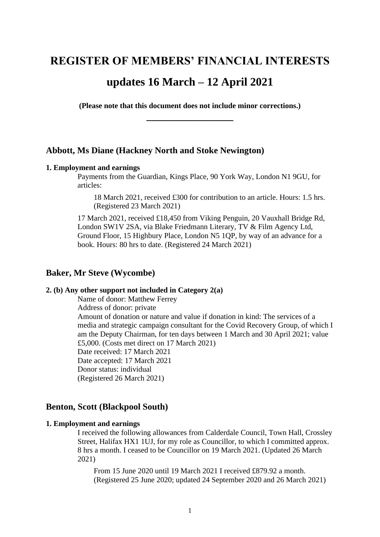# **REGISTER OF MEMBERS' FINANCIAL INTERESTS**

## **updates 16 March – 12 April 2021**

**(Please note that this document does not include minor corrections.) \_\_\_\_\_\_\_\_\_\_\_\_\_\_\_\_\_**

## **Abbott, Ms Diane (Hackney North and Stoke Newington)**

## **1. Employment and earnings**

Payments from the Guardian, Kings Place, 90 York Way, London N1 9GU, for articles:

18 March 2021, received £300 for contribution to an article. Hours: 1.5 hrs. (Registered 23 March 2021)

17 March 2021, received £18,450 from Viking Penguin, 20 Vauxhall Bridge Rd, London SW1V 2SA, via Blake Friedmann Literary, TV & Film Agency Ltd, Ground Floor, 15 Highbury Place, London N5 1QP, by way of an advance for a book. Hours: 80 hrs to date. (Registered 24 March 2021)

## **Baker, Mr Steve (Wycombe)**

## **2. (b) Any other support not included in Category 2(a)**

Name of donor: Matthew Ferrey Address of donor: private

Amount of donation or nature and value if donation in kind: The services of a media and strategic campaign consultant for the Covid Recovery Group, of which I am the Deputy Chairman, for ten days between 1 March and 30 April 2021; value £5,000. (Costs met direct on 17 March 2021) Date received: 17 March 2021

Date accepted: 17 March 2021

Donor status: individual

(Registered 26 March 2021)

## **Benton, Scott (Blackpool South)**

## **1. Employment and earnings**

I received the following allowances from Calderdale Council, Town Hall, Crossley Street, Halifax HX1 1UJ, for my role as Councillor, to which I committed approx. 8 hrs a month. I ceased to be Councillor on 19 March 2021. (Updated 26 March 2021)

From 15 June 2020 until 19 March 2021 I received £879.92 a month. (Registered 25 June 2020; updated 24 September 2020 and 26 March 2021)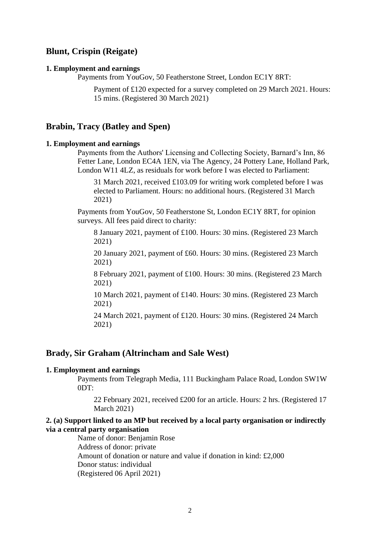## **Blunt, Crispin (Reigate)**

#### **1. Employment and earnings**

Payments from YouGov, 50 Featherstone Street, London EC1Y 8RT:

Payment of £120 expected for a survey completed on 29 March 2021. Hours: 15 mins. (Registered 30 March 2021)

## **Brabin, Tracy (Batley and Spen)**

#### **1. Employment and earnings**

Payments from the Authors' Licensing and Collecting Society, Barnard's Inn, 86 Fetter Lane, London EC4A 1EN, via The Agency, 24 Pottery Lane, Holland Park, London W11 4LZ, as residuals for work before I was elected to Parliament:

31 March 2021, received £103.09 for writing work completed before I was elected to Parliament. Hours: no additional hours. (Registered 31 March 2021)

Payments from YouGov, 50 Featherstone St, London EC1Y 8RT, for opinion surveys. All fees paid direct to charity:

8 January 2021, payment of £100. Hours: 30 mins. (Registered 23 March 2021)

20 January 2021, payment of £60. Hours: 30 mins. (Registered 23 March 2021)

8 February 2021, payment of £100. Hours: 30 mins. (Registered 23 March 2021)

10 March 2021, payment of £140. Hours: 30 mins. (Registered 23 March 2021)

24 March 2021, payment of £120. Hours: 30 mins. (Registered 24 March 2021)

## **Brady, Sir Graham (Altrincham and Sale West)**

#### **1. Employment and earnings**

Payments from Telegraph Media, 111 Buckingham Palace Road, London SW1W 0DT:

22 February 2021, received £200 for an article. Hours: 2 hrs. (Registered 17 March 2021)

## **2. (a) Support linked to an MP but received by a local party organisation or indirectly via a central party organisation**

Name of donor: Benjamin Rose Address of donor: private Amount of donation or nature and value if donation in kind: £2,000 Donor status: individual (Registered 06 April 2021)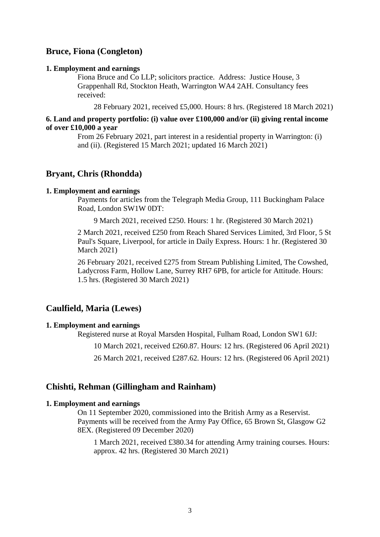## **Bruce, Fiona (Congleton)**

#### **1. Employment and earnings**

Fiona Bruce and Co LLP; solicitors practice. Address: Justice House, 3 Grappenhall Rd, Stockton Heath, Warrington WA4 2AH. Consultancy fees received:

28 February 2021, received £5,000. Hours: 8 hrs. (Registered 18 March 2021)

#### **6. Land and property portfolio: (i) value over £100,000 and/or (ii) giving rental income of over £10,000 a year**

From 26 February 2021, part interest in a residential property in Warrington: (i) and (ii). (Registered 15 March 2021; updated 16 March 2021)

## **Bryant, Chris (Rhondda)**

#### **1. Employment and earnings**

Payments for articles from the Telegraph Media Group, 111 Buckingham Palace Road, London SW1W 0DT:

9 March 2021, received £250. Hours: 1 hr. (Registered 30 March 2021)

2 March 2021, received £250 from Reach Shared Services Limited, 3rd Floor, 5 St Paul's Square, Liverpool, for article in Daily Express. Hours: 1 hr. (Registered 30 March 2021)

26 February 2021, received £275 from Stream Publishing Limited, The Cowshed, Ladycross Farm, Hollow Lane, Surrey RH7 6PB, for article for Attitude. Hours: 1.5 hrs. (Registered 30 March 2021)

## **Caulfield, Maria (Lewes)**

#### **1. Employment and earnings**

Registered nurse at Royal Marsden Hospital, Fulham Road, London SW1 6JJ:

10 March 2021, received £260.87. Hours: 12 hrs. (Registered 06 April 2021)

26 March 2021, received £287.62. Hours: 12 hrs. (Registered 06 April 2021)

## **Chishti, Rehman (Gillingham and Rainham)**

#### **1. Employment and earnings**

On 11 September 2020, commissioned into the British Army as a Reservist. Payments will be received from the Army Pay Office, 65 Brown St, Glasgow G2 8EX. (Registered 09 December 2020)

1 March 2021, received £380.34 for attending Army training courses. Hours: approx. 42 hrs. (Registered 30 March 2021)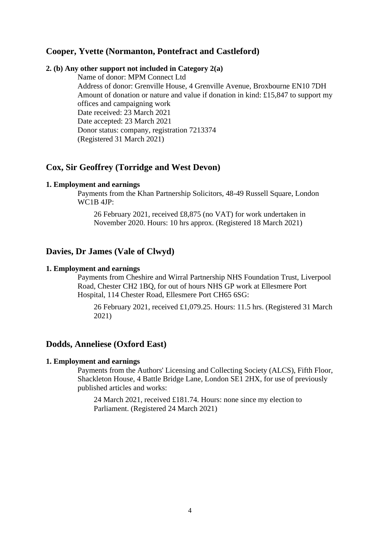## **Cooper, Yvette (Normanton, Pontefract and Castleford)**

#### **2. (b) Any other support not included in Category 2(a)**

Name of donor: MPM Connect Ltd Address of donor: Grenville House, 4 Grenville Avenue, Broxbourne EN10 7DH Amount of donation or nature and value if donation in kind: £15,847 to support my offices and campaigning work Date received: 23 March 2021 Date accepted: 23 March 2021 Donor status: company, registration 7213374 (Registered 31 March 2021)

## **Cox, Sir Geoffrey (Torridge and West Devon)**

#### **1. Employment and earnings**

Payments from the Khan Partnership Solicitors, 48-49 Russell Square, London WC1B 4JP:

26 February 2021, received £8,875 (no VAT) for work undertaken in November 2020. Hours: 10 hrs approx. (Registered 18 March 2021)

## **Davies, Dr James (Vale of Clwyd)**

#### **1. Employment and earnings**

Payments from Cheshire and Wirral Partnership NHS Foundation Trust, Liverpool Road, Chester CH2 1BQ, for out of hours NHS GP work at Ellesmere Port Hospital, 114 Chester Road, Ellesmere Port CH65 6SG:

26 February 2021, received £1,079.25. Hours: 11.5 hrs. (Registered 31 March 2021)

## **Dodds, Anneliese (Oxford East)**

#### **1. Employment and earnings**

Payments from the Authors' Licensing and Collecting Society (ALCS), Fifth Floor, Shackleton House, 4 Battle Bridge Lane, London SE1 2HX, for use of previously published articles and works:

24 March 2021, received £181.74. Hours: none since my election to Parliament. (Registered 24 March 2021)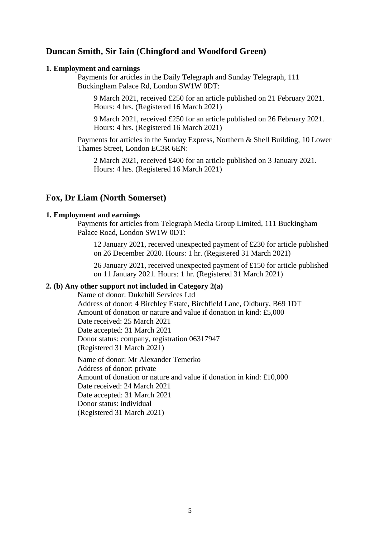## **Duncan Smith, Sir Iain (Chingford and Woodford Green)**

#### **1. Employment and earnings**

Payments for articles in the Daily Telegraph and Sunday Telegraph, 111 Buckingham Palace Rd, London SW1W 0DT:

9 March 2021, received £250 for an article published on 21 February 2021. Hours: 4 hrs. (Registered 16 March 2021)

9 March 2021, received £250 for an article published on 26 February 2021. Hours: 4 hrs. (Registered 16 March 2021)

Payments for articles in the Sunday Express, Northern & Shell Building, 10 Lower Thames Street, London EC3R 6EN:

2 March 2021, received £400 for an article published on 3 January 2021. Hours: 4 hrs. (Registered 16 March 2021)

## **Fox, Dr Liam (North Somerset)**

## **1. Employment and earnings**

Payments for articles from Telegraph Media Group Limited, 111 Buckingham Palace Road, London SW1W 0DT:

12 January 2021, received unexpected payment of £230 for article published on 26 December 2020. Hours: 1 hr. (Registered 31 March 2021)

26 January 2021, received unexpected payment of £150 for article published on 11 January 2021. Hours: 1 hr. (Registered 31 March 2021)

## **2. (b) Any other support not included in Category 2(a)**

Name of donor: Dukehill Services Ltd Address of donor: 4 Birchley Estate, Birchfield Lane, Oldbury, B69 1DT Amount of donation or nature and value if donation in kind: £5,000 Date received: 25 March 2021 Date accepted: 31 March 2021 Donor status: company, registration 06317947 (Registered 31 March 2021)

Name of donor: Mr Alexander Temerko Address of donor: private Amount of donation or nature and value if donation in kind: £10,000 Date received: 24 March 2021 Date accepted: 31 March 2021 Donor status: individual (Registered 31 March 2021)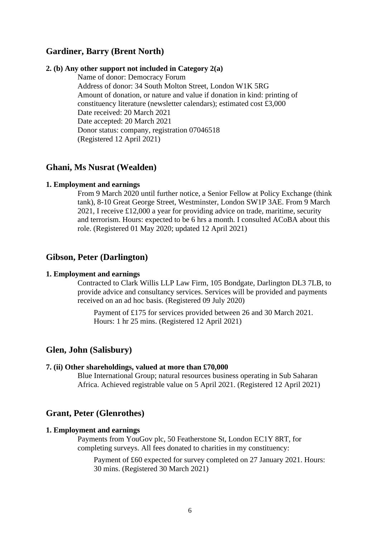## **Gardiner, Barry (Brent North)**

#### **2. (b) Any other support not included in Category 2(a)**

Name of donor: Democracy Forum Address of donor: 34 South Molton Street, London W1K 5RG Amount of donation, or nature and value if donation in kind: printing of constituency literature (newsletter calendars); estimated cost £3,000 Date received: 20 March 2021 Date accepted: 20 March 2021 Donor status: company, registration 07046518 (Registered 12 April 2021)

## **Ghani, Ms Nusrat (Wealden)**

#### **1. Employment and earnings**

From 9 March 2020 until further notice, a Senior Fellow at Policy Exchange (think tank), 8-10 Great George Street, Westminster, London SW1P 3AE. From 9 March 2021, I receive £12,000 a year for providing advice on trade, maritime, security and terrorism. Hours: expected to be 6 hrs a month. I consulted ACoBA about this role. (Registered 01 May 2020; updated 12 April 2021)

## **Gibson, Peter (Darlington)**

#### **1. Employment and earnings**

Contracted to Clark Willis LLP Law Firm, 105 Bondgate, Darlington DL3 7LB, to provide advice and consultancy services. Services will be provided and payments received on an ad hoc basis. (Registered 09 July 2020)

Payment of £175 for services provided between 26 and 30 March 2021. Hours: 1 hr 25 mins. (Registered 12 April 2021)

## **Glen, John (Salisbury)**

## **7. (ii) Other shareholdings, valued at more than £70,000**

Blue International Group; natural resources business operating in Sub Saharan Africa. Achieved registrable value on 5 April 2021. (Registered 12 April 2021)

## **Grant, Peter (Glenrothes)**

## **1. Employment and earnings**

Payments from YouGov plc, 50 Featherstone St, London EC1Y 8RT, for completing surveys. All fees donated to charities in my constituency:

Payment of £60 expected for survey completed on 27 January 2021. Hours: 30 mins. (Registered 30 March 2021)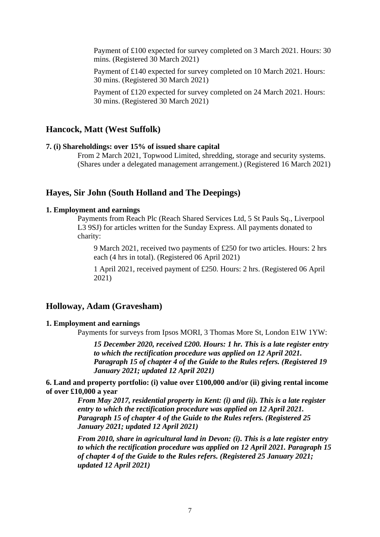Payment of £100 expected for survey completed on 3 March 2021. Hours: 30 mins. (Registered 30 March 2021)

Payment of £140 expected for survey completed on 10 March 2021. Hours: 30 mins. (Registered 30 March 2021)

Payment of £120 expected for survey completed on 24 March 2021. Hours: 30 mins. (Registered 30 March 2021)

## **Hancock, Matt (West Suffolk)**

## **7. (i) Shareholdings: over 15% of issued share capital**

From 2 March 2021, Topwood Limited, shredding, storage and security systems. (Shares under a delegated management arrangement.) (Registered 16 March 2021)

## **Hayes, Sir John (South Holland and The Deepings)**

## **1. Employment and earnings**

Payments from Reach Plc (Reach Shared Services Ltd, 5 St Pauls Sq., Liverpool L3 9SJ) for articles written for the Sunday Express. All payments donated to charity:

9 March 2021, received two payments of £250 for two articles. Hours: 2 hrs each (4 hrs in total). (Registered 06 April 2021)

1 April 2021, received payment of £250. Hours: 2 hrs. (Registered 06 April 2021)

## **Holloway, Adam (Gravesham)**

#### **1. Employment and earnings**

Payments for surveys from Ipsos MORI, 3 Thomas More St, London E1W 1YW:

*15 December 2020, received £200. Hours: 1 hr. This is a late register entry to which the rectification procedure was applied on 12 April 2021. Paragraph 15 of chapter 4 of the Guide to the Rules refers. (Registered 19 January 2021; updated 12 April 2021)*

**6. Land and property portfolio: (i) value over £100,000 and/or (ii) giving rental income of over £10,000 a year**

> *From May 2017, residential property in Kent: (i) and (ii). This is a late register entry to which the rectification procedure was applied on 12 April 2021. Paragraph 15 of chapter 4 of the Guide to the Rules refers. (Registered 25 January 2021; updated 12 April 2021)*

*From 2010, share in agricultural land in Devon: (i). This is a late register entry to which the rectification procedure was applied on 12 April 2021. Paragraph 15 of chapter 4 of the Guide to the Rules refers. (Registered 25 January 2021; updated 12 April 2021)*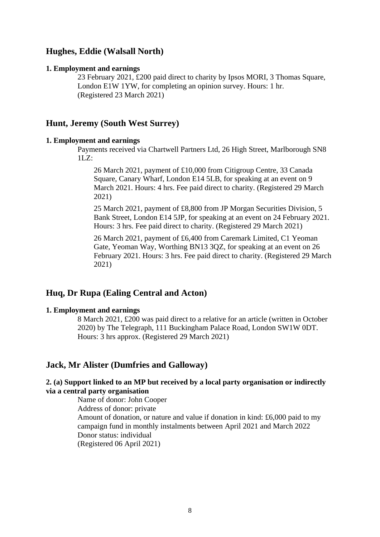## **Hughes, Eddie (Walsall North)**

#### **1. Employment and earnings**

23 February 2021, £200 paid direct to charity by Ipsos MORI, 3 Thomas Square, London E1W 1YW, for completing an opinion survey. Hours: 1 hr. (Registered 23 March 2021)

## **Hunt, Jeremy (South West Surrey)**

## **1. Employment and earnings**

Payments received via Chartwell Partners Ltd, 26 High Street, Marlborough SN8  $1LZ$ :

26 March 2021, payment of £10,000 from Citigroup Centre, 33 Canada Square, Canary Wharf, London E14 5LB, for speaking at an event on 9 March 2021. Hours: 4 hrs. Fee paid direct to charity. (Registered 29 March 2021)

25 March 2021, payment of £8,800 from JP Morgan Securities Division, 5 Bank Street, London E14 5JP, for speaking at an event on 24 February 2021. Hours: 3 hrs. Fee paid direct to charity. (Registered 29 March 2021)

26 March 2021, payment of £6,400 from Caremark Limited, C1 Yeoman Gate, Yeoman Way, Worthing BN13 3QZ, for speaking at an event on 26 February 2021. Hours: 3 hrs. Fee paid direct to charity. (Registered 29 March 2021)

## **Huq, Dr Rupa (Ealing Central and Acton)**

## **1. Employment and earnings**

8 March 2021, £200 was paid direct to a relative for an article (written in October 2020) by The Telegraph, 111 Buckingham Palace Road, London SW1W 0DT. Hours: 3 hrs approx. (Registered 29 March 2021)

## **Jack, Mr Alister (Dumfries and Galloway)**

## **2. (a) Support linked to an MP but received by a local party organisation or indirectly via a central party organisation**

Name of donor: John Cooper Address of donor: private Amount of donation, or nature and value if donation in kind: £6,000 paid to my campaign fund in monthly instalments between April 2021 and March 2022 Donor status: individual (Registered 06 April 2021)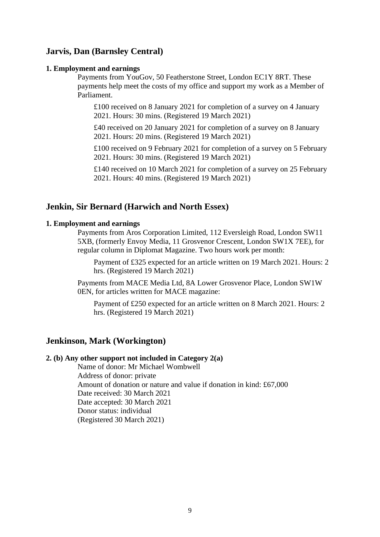## **Jarvis, Dan (Barnsley Central)**

#### **1. Employment and earnings**

Payments from YouGov, 50 Featherstone Street, London EC1Y 8RT. These payments help meet the costs of my office and support my work as a Member of Parliament.

£100 received on 8 January 2021 for completion of a survey on 4 January 2021. Hours: 30 mins. (Registered 19 March 2021)

£40 received on 20 January 2021 for completion of a survey on 8 January 2021. Hours: 20 mins. (Registered 19 March 2021)

£100 received on 9 February 2021 for completion of a survey on 5 February 2021. Hours: 30 mins. (Registered 19 March 2021)

£140 received on 10 March 2021 for completion of a survey on 25 February 2021. Hours: 40 mins. (Registered 19 March 2021)

## **Jenkin, Sir Bernard (Harwich and North Essex)**

#### **1. Employment and earnings**

Payments from Aros Corporation Limited, 112 Eversleigh Road, London SW11 5XB, (formerly Envoy Media, 11 Grosvenor Crescent, London SW1X 7EE), for regular column in Diplomat Magazine. Two hours work per month:

Payment of £325 expected for an article written on 19 March 2021. Hours: 2 hrs. (Registered 19 March 2021)

Payments from MACE Media Ltd, 8A Lower Grosvenor Place, London SW1W 0EN, for articles written for MACE magazine:

Payment of £250 expected for an article written on 8 March 2021. Hours: 2 hrs. (Registered 19 March 2021)

## **Jenkinson, Mark (Workington)**

#### **2. (b) Any other support not included in Category 2(a)**

Name of donor: Mr Michael Wombwell Address of donor: private Amount of donation or nature and value if donation in kind: £67,000 Date received: 30 March 2021 Date accepted: 30 March 2021 Donor status: individual (Registered 30 March 2021)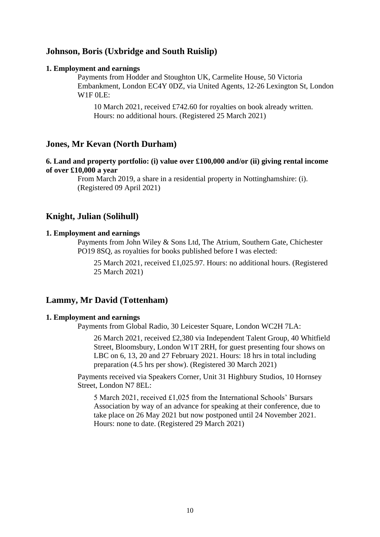## **Johnson, Boris (Uxbridge and South Ruislip)**

#### **1. Employment and earnings**

Payments from Hodder and Stoughton UK, Carmelite House, 50 Victoria Embankment, London EC4Y 0DZ, via United Agents, 12-26 Lexington St, London W1F 0LE:

10 March 2021, received £742.60 for royalties on book already written. Hours: no additional hours. (Registered 25 March 2021)

## **Jones, Mr Kevan (North Durham)**

## **6. Land and property portfolio: (i) value over £100,000 and/or (ii) giving rental income of over £10,000 a year**

From March 2019, a share in a residential property in Nottinghamshire: (i). (Registered 09 April 2021)

## **Knight, Julian (Solihull)**

## **1. Employment and earnings**

Payments from John Wiley & Sons Ltd, The Atrium, Southern Gate, Chichester PO19 8SQ, as royalties for books published before I was elected:

25 March 2021, received £1,025.97. Hours: no additional hours. (Registered 25 March 2021)

## **Lammy, Mr David (Tottenham)**

#### **1. Employment and earnings**

Payments from Global Radio, 30 Leicester Square, London WC2H 7LA:

26 March 2021, received £2,380 via Independent Talent Group, 40 Whitfield Street, Bloomsbury, London W1T 2RH, for guest presenting four shows on LBC on 6, 13, 20 and 27 February 2021. Hours: 18 hrs in total including preparation (4.5 hrs per show). (Registered 30 March 2021)

Payments received via Speakers Corner, Unit 31 Highbury Studios, 10 Hornsey Street, London N7 8EL:

5 March 2021, received £1,025 from the International Schools' Bursars Association by way of an advance for speaking at their conference, due to take place on 26 May 2021 but now postponed until 24 November 2021. Hours: none to date. (Registered 29 March 2021)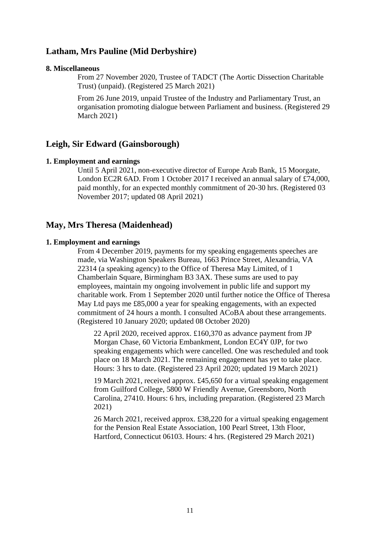## **Latham, Mrs Pauline (Mid Derbyshire)**

#### **8. Miscellaneous**

From 27 November 2020, Trustee of TADCT (The Aortic Dissection Charitable Trust) (unpaid). (Registered 25 March 2021)

From 26 June 2019, unpaid Trustee of the Industry and Parliamentary Trust, an organisation promoting dialogue between Parliament and business. (Registered 29 March 2021)

## **Leigh, Sir Edward (Gainsborough)**

#### **1. Employment and earnings**

Until 5 April 2021, non-executive director of Europe Arab Bank, 15 Moorgate, London EC2R 6AD. From 1 October 2017 I received an annual salary of £74,000, paid monthly, for an expected monthly commitment of 20-30 hrs. (Registered 03 November 2017; updated 08 April 2021)

## **May, Mrs Theresa (Maidenhead)**

#### **1. Employment and earnings**

From 4 December 2019, payments for my speaking engagements speeches are made, via Washington Speakers Bureau, 1663 Prince Street, Alexandria, VA 22314 (a speaking agency) to the Office of Theresa May Limited, of 1 Chamberlain Square, Birmingham B3 3AX. These sums are used to pay employees, maintain my ongoing involvement in public life and support my charitable work. From 1 September 2020 until further notice the Office of Theresa May Ltd pays me £85,000 a year for speaking engagements, with an expected commitment of 24 hours a month. I consulted ACoBA about these arrangements. (Registered 10 January 2020; updated 08 October 2020)

22 April 2020, received approx. £160,370 as advance payment from JP Morgan Chase, 60 Victoria Embankment, London EC4Y 0JP, for two speaking engagements which were cancelled. One was rescheduled and took place on 18 March 2021. The remaining engagement has yet to take place. Hours: 3 hrs to date. (Registered 23 April 2020; updated 19 March 2021)

19 March 2021, received approx. £45,650 for a virtual speaking engagement from Guilford College, 5800 W Friendly Avenue, Greensboro, North Carolina, 27410. Hours: 6 hrs, including preparation. (Registered 23 March 2021)

26 March 2021, received approx. £38,220 for a virtual speaking engagement for the Pension Real Estate Association, 100 Pearl Street, 13th Floor, Hartford, Connecticut 06103. Hours: 4 hrs. (Registered 29 March 2021)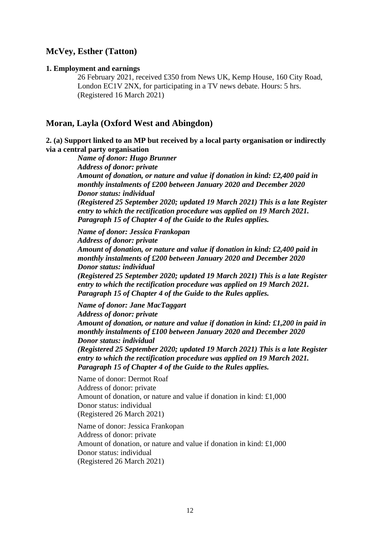## **McVey, Esther (Tatton)**

#### **1. Employment and earnings**

26 February 2021, received £350 from News UK, Kemp House, 160 City Road, London EC1V 2NX, for participating in a TV news debate. Hours: 5 hrs. (Registered 16 March 2021)

## **Moran, Layla (Oxford West and Abingdon)**

**2. (a) Support linked to an MP but received by a local party organisation or indirectly via a central party organisation**

*Name of donor: Hugo Brunner Address of donor: private Amount of donation, or nature and value if donation in kind: £2,400 paid in monthly instalments of £200 between January 2020 and December 2020 Donor status: individual (Registered 25 September 2020; updated 19 March 2021) This is a late Register entry to which the rectification procedure was applied on 19 March 2021. Paragraph 15 of Chapter 4 of the Guide to the Rules applies.*

*Name of donor: Jessica Frankopan Address of donor: private Amount of donation, or nature and value if donation in kind: £2,400 paid in monthly instalments of £200 between January 2020 and December 2020 Donor status: individual (Registered 25 September 2020; updated 19 March 2021) This is a late Register* 

*entry to which the rectification procedure was applied on 19 March 2021. Paragraph 15 of Chapter 4 of the Guide to the Rules applies.*

*Name of donor: Jane MacTaggart Address of donor: private Amount of donation, or nature and value if donation in kind: £1,200 in paid in monthly instalments of £100 between January 2020 and December 2020 Donor status: individual (Registered 25 September 2020; updated 19 March 2021) This is a late Register entry to which the rectification procedure was applied on 19 March 2021.* 

*Paragraph 15 of Chapter 4 of the Guide to the Rules applies.*

Name of donor: Dermot Roaf Address of donor: private Amount of donation, or nature and value if donation in kind: £1,000 Donor status: individual (Registered 26 March 2021)

Name of donor: Jessica Frankopan Address of donor: private Amount of donation, or nature and value if donation in kind: £1,000 Donor status: individual (Registered 26 March 2021)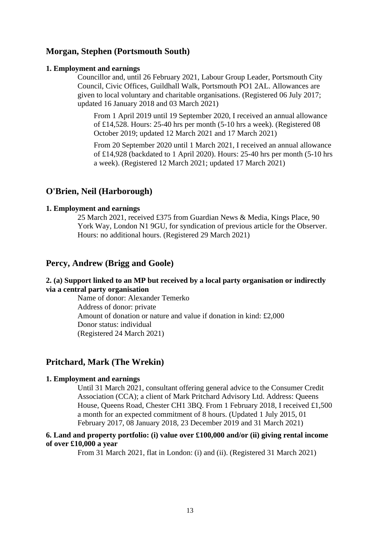## **Morgan, Stephen (Portsmouth South)**

#### **1. Employment and earnings**

Councillor and, until 26 February 2021, Labour Group Leader, Portsmouth City Council, Civic Offices, Guildhall Walk, Portsmouth PO1 2AL. Allowances are given to local voluntary and charitable organisations. (Registered 06 July 2017; updated 16 January 2018 and 03 March 2021)

From 1 April 2019 until 19 September 2020, I received an annual allowance of £14,528. Hours: 25-40 hrs per month (5-10 hrs a week). (Registered 08 October 2019; updated 12 March 2021 and 17 March 2021)

From 20 September 2020 until 1 March 2021, I received an annual allowance of £14,928 (backdated to 1 April 2020). Hours: 25-40 hrs per month (5-10 hrs a week). (Registered 12 March 2021; updated 17 March 2021)

## **O'Brien, Neil (Harborough)**

## **1. Employment and earnings**

25 March 2021, received £375 from Guardian News & Media, Kings Place, 90 York Way, London N1 9GU, for syndication of previous article for the Observer. Hours: no additional hours. (Registered 29 March 2021)

## **Percy, Andrew (Brigg and Goole)**

## **2. (a) Support linked to an MP but received by a local party organisation or indirectly via a central party organisation**

Name of donor: Alexander Temerko Address of donor: private Amount of donation or nature and value if donation in kind: £2,000 Donor status: individual (Registered 24 March 2021)

## **Pritchard, Mark (The Wrekin)**

#### **1. Employment and earnings**

Until 31 March 2021, consultant offering general advice to the Consumer Credit Association (CCA); a client of Mark Pritchard Advisory Ltd. Address: Queens House, Queens Road, Chester CH1 3BQ. From 1 February 2018, I received £1,500 a month for an expected commitment of 8 hours. (Updated 1 July 2015, 01 February 2017, 08 January 2018, 23 December 2019 and 31 March 2021)

## **6. Land and property portfolio: (i) value over £100,000 and/or (ii) giving rental income of over £10,000 a year**

From 31 March 2021, flat in London: (i) and (ii). (Registered 31 March 2021)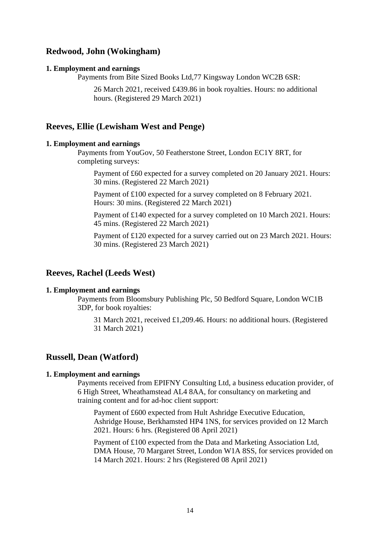## **Redwood, John (Wokingham)**

#### **1. Employment and earnings**

Payments from Bite Sized Books Ltd,77 Kingsway London WC2B 6SR:

26 March 2021, received £439.86 in book royalties. Hours: no additional hours. (Registered 29 March 2021)

## **Reeves, Ellie (Lewisham West and Penge)**

#### **1. Employment and earnings**

Payments from YouGov, 50 Featherstone Street, London EC1Y 8RT, for completing surveys:

Payment of £60 expected for a survey completed on 20 January 2021. Hours: 30 mins. (Registered 22 March 2021)

Payment of £100 expected for a survey completed on 8 February 2021. Hours: 30 mins. (Registered 22 March 2021)

Payment of £140 expected for a survey completed on 10 March 2021. Hours: 45 mins. (Registered 22 March 2021)

Payment of £120 expected for a survey carried out on 23 March 2021. Hours: 30 mins. (Registered 23 March 2021)

## **Reeves, Rachel (Leeds West)**

#### **1. Employment and earnings**

Payments from Bloomsbury Publishing Plc, 50 Bedford Square, London WC1B 3DP, for book royalties:

31 March 2021, received £1,209.46. Hours: no additional hours. (Registered 31 March 2021)

## **Russell, Dean (Watford)**

#### **1. Employment and earnings**

Payments received from EPIFNY Consulting Ltd, a business education provider, of 6 High Street, Wheathamstead AL4 8AA, for consultancy on marketing and training content and for ad-hoc client support:

Payment of £600 expected from Hult Ashridge Executive Education, Ashridge House, Berkhamsted HP4 1NS, for services provided on 12 March 2021. Hours: 6 hrs. (Registered 08 April 2021)

Payment of £100 expected from the Data and Marketing Association Ltd, DMA House, 70 Margaret Street, London W1A 8SS, for services provided on 14 March 2021. Hours: 2 hrs (Registered 08 April 2021)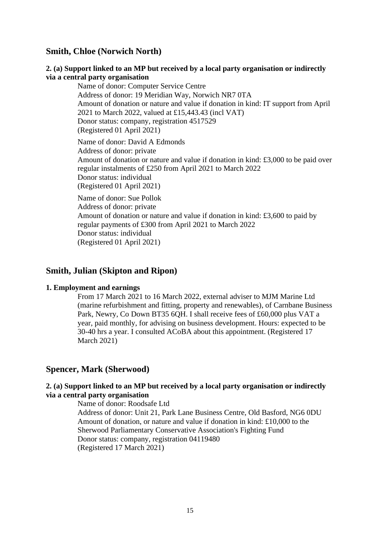## **Smith, Chloe (Norwich North)**

## **2. (a) Support linked to an MP but received by a local party organisation or indirectly via a central party organisation**

Name of donor: Computer Service Centre Address of donor: 19 Meridian Way, Norwich NR7 0TA Amount of donation or nature and value if donation in kind: IT support from April 2021 to March 2022, valued at £15,443.43 (incl VAT) Donor status: company, registration 4517529 (Registered 01 April 2021)

Name of donor: David A Edmonds Address of donor: private Amount of donation or nature and value if donation in kind: £3,000 to be paid over regular instalments of £250 from April 2021 to March 2022 Donor status: individual (Registered 01 April 2021)

Name of donor: Sue Pollok Address of donor: private Amount of donation or nature and value if donation in kind: £3,600 to paid by regular payments of £300 from April 2021 to March 2022 Donor status: individual (Registered 01 April 2021)

## **Smith, Julian (Skipton and Ripon)**

## **1. Employment and earnings**

From 17 March 2021 to 16 March 2022, external adviser to MJM Marine Ltd (marine refurbishment and fitting, property and renewables), of Carnbane Business Park, Newry, Co Down BT35 6QH. I shall receive fees of £60,000 plus VAT a year, paid monthly, for advising on business development. Hours: expected to be 30-40 hrs a year. I consulted ACoBA about this appointment. (Registered 17 March 2021)

## **Spencer, Mark (Sherwood)**

## **2. (a) Support linked to an MP but received by a local party organisation or indirectly via a central party organisation**

Name of donor: Roodsafe Ltd Address of donor: Unit 21, Park Lane Business Centre, Old Basford, NG6 0DU Amount of donation, or nature and value if donation in kind: £10,000 to the Sherwood Parliamentary Conservative Association's Fighting Fund Donor status: company, registration 04119480 (Registered 17 March 2021)